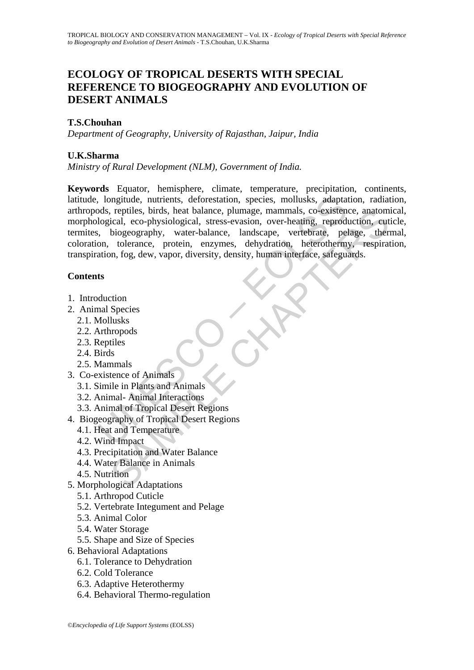# **ECOLOGY OF TROPICAL DESERTS WITH SPECIAL REFERENCE TO BIOGEOGRAPHY AND EVOLUTION OF DESERT ANIMALS**

## **T.S.Chouhan**

*Department of Geography, University of Rajasthan, Jaipur, India* 

### **U.K.Sharma**

*Ministry of Rural Development (NLM), Government of India.* 

, longitude, nutrients, deforestation, species, mollusks, adapta<br>
ods, reptiles, birds, heat balance, plumage, mammals, co-existen<br>
logical, eco-physiological, stress-evasion, over-heating, reproduce,<br>
i, biogeography, wat reptiles, birds, heat balance, plumage, mammals, co-existence, anatom<br>
iologeography, water-balance, landscape, vertebring, reproduction, cut<br>
biogeography, water-balance, landscape, vertebring, reproduction, cut<br>
toleranc **Keywords** Equator, hemisphere, climate, temperature, precipitation, continents, latitude, longitude, nutrients, deforestation, species, mollusks, adaptation, radiation, arthropods, reptiles, birds, heat balance, plumage, mammals, co-existence, anatomical, morphological, eco-physiological, stress-evasion, over-heating, reproduction, cuticle, termites, biogeography, water-balance, landscape, vertebrate, pelage, thermal, coloration, tolerance, protein, enzymes, dehydration, heterothermy, respiration, transpiration, fog, dew, vapor, diversity, density, human interface, safeguards.

## **Contents**

- 1. Introduction
- 2. Animal Species
	- 2.1. Mollusks
	- 2.2. Arthropods
	- 2.3. Reptiles
	- 2.4. Birds
	- 2.5. Mammals
- 3. Co-existence of Animals
	- 3.1. Simile in Plants and Animals
	- 3.2. Animal- Animal Interactions
	- 3.3. Animal of Tropical Desert Regions
- 4. Biogeography of Tropical Desert Regions
	- 4.1. Heat and Temperature
	- 4.2. Wind Impact
	- 4.3. Precipitation and Water Balance
	- 4.4. Water Balance in Animals
	- 4.5. Nutrition
- 5. Morphological Adaptations
	- 5.1. Arthropod Cuticle
	- 5.2. Vertebrate Integument and Pelage
	- 5.3. Animal Color
	- 5.4. Water Storage
	- 5.5. Shape and Size of Species
- 6. Behavioral Adaptations
	- 6.1. Tolerance to Dehydration
	- 6.2. Cold Tolerance
	- 6.3. Adaptive Heterothermy
	- 6.4. Behavioral Thermo-regulation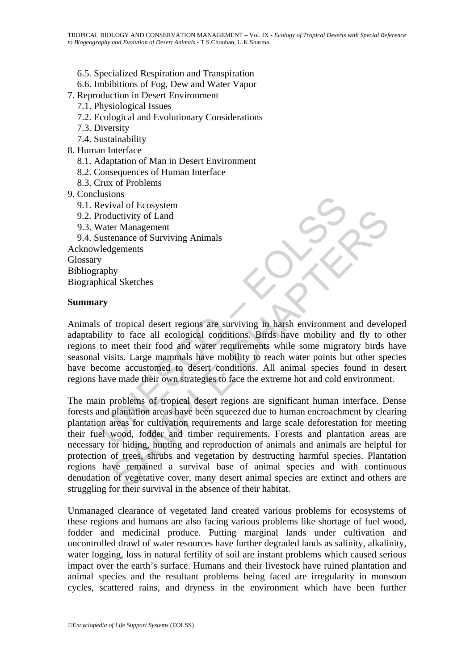- 6.5. Specialized Respiration and Transpiration
- 6.6. Imbibitions of Fog, Dew and Water Vapor
- 7. Reproduction in Desert Environment
	- 7.1. Physiological Issues
	- 7.2. Ecological and Evolutionary Considerations
	- 7.3. Diversity
	- 7.4. Sustainability
- 8. Human Interface
	- 8.1. Adaptation of Man in Desert Environment
	- 8.2. Consequences of Human Interface
	- 8.3. Crux of Problems
- 9. Conclusions
	- 9.1. Revival of Ecosystem
	- 9.2. Productivity of Land
	- 9.3. Water Management
- 9.4. Sustenance of Surviving Animals Acknowledgements

Glossary Bibliography Biographical Sketches

#### **Summary**

Maxion<br>
Nevival of Ecosystem<br>
Productivity of Land<br>
Nater Management<br>
Nustenance of Surviving Animals<br>
Nedgements<br>
Nedgements<br>
Traphy<br>
Araphy<br>
Araphy<br>
Araphy<br>
Araphy<br>
Araphy<br>
Araphy<br>
Araphy<br>
Araphy<br>
Araphy<br>
Araphy<br>
Inciden Animals of tropical desert regions are surviving in harsh environment and developed adaptability to face all ecological conditions. Birds have mobility and fly to other regions to meet their food and water requirements while some migratory birds have seasonal visits. Large mammals have mobility to reach water points but other species have become accustomed to desert conditions. All animal species found in desert regions have made their own strategies to face the extreme hot and cold environment.

Interior of Surviving Animals<br>
Interivity of Land<br>
er Management<br>
er Managements<br>
Igements<br>
Signements<br>
System and Sketches<br>
Interior of Surviving Animals<br>
Signements<br>
Interior of a and water requirements while some migrat The main problems of tropical desert regions are significant human interface. Dense forests and plantation areas have been squeezed due to human encroachment by clearing plantation areas for cultivation requirements and large scale deforestation for meeting their fuel wood, fodder and timber requirements. Forests and plantation areas are necessary for hiding, hunting and reproduction of animals and animals are helpful for protection of trees, shrubs and vegetation by destructing harmful species. Plantation regions have remained a survival base of animal species and with continuous denudation of vegetative cover, many desert animal species are extinct and others are struggling for their survival in the absence of their habitat.

Unmanaged clearance of vegetated land created various problems for ecosystems of these regions and humans are also facing various problems like shortage of fuel wood, fodder and medicinal produce. Putting marginal lands under cultivation and uncontrolled drawl of water resources have further degraded lands as salinity, alkalinity, water logging, loss in natural fertility of soil are instant problems which caused serious impact over the earth's surface. Humans and their livestock have ruined plantation and animal species and the resultant problems being faced are irregularity in monsoon cycles, scattered rains, and dryness in the environment which have been further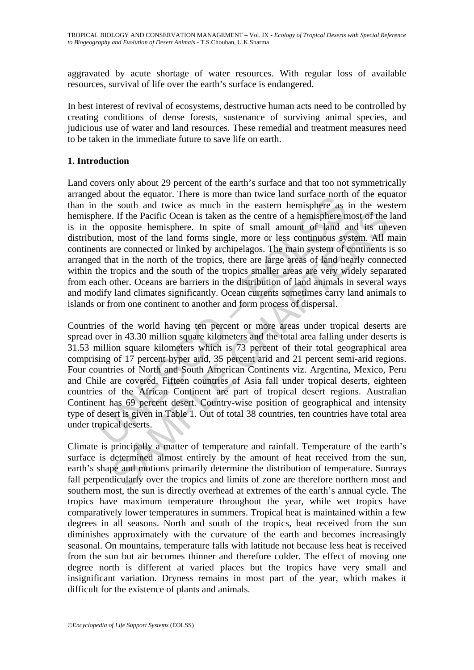aggravated by acute shortage of water resources. With regular loss of available resources, survival of life over the earth's surface is endangered.

In best interest of revival of ecosystems, destructive human acts need to be controlled by creating conditions of dense forests, sustenance of surviving animal species, and judicious use of water and land resources. These remedial and treatment measures need to be taken in the immediate future to save life on earth.

#### **1. Introduction**

about the equator. There is more tank where tank surface noting<br>the south and twice as much in the eastern hemisphere as<br>the react of the Pacific Ocean is taken as the centre of a hemisphere me<br>enere. If the Pacific Ocean Land covers only about 29 percent of the earth's surface and that too not symmetrically arranged about the equator. There is more than twice land surface north of the equator than in the south and twice as much in the eastern hemisphere as in the western hemisphere. If the Pacific Ocean is taken as the centre of a hemisphere most of the land is in the opposite hemisphere. In spite of small amount of land and its uneven distribution, most of the land forms single, more or less continuous system. All main continents are connected or linked by archipelagos. The main system of continents is so arranged that in the north of the tropics, there are large areas of land nearly connected within the tropics and the south of the tropics smaller areas are very widely separated from each other. Oceans are barriers in the distribution of land animals in several ways and modify land climates significantly. Ocean currents sometimes carry land animals to islands or from one continent to another and form process of dispersal.

E. If the Pacific Ocean is taken as the centre of a hemisphere most of the opposite hemisphere. In spite of small amount of land and its une opposite hemisphere. In spite of small amount of land and its une ax, most of the Countries of the world having ten percent or more areas under tropical deserts are spread over in 43.30 million square kilometers and the total area falling under deserts is 31.53 million square kilometers which is 73 percent of their total geographical area comprising of 17 percent hyper arid, 35 percent arid and 21 percent semi-arid regions. Four countries of North and South American Continents viz. Argentina, Mexico, Peru and Chile are covered. Fifteen countries of Asia fall under tropical deserts, eighteen countries of the African Continent are part of tropical desert regions. Australian Continent has 69 percent desert. Country-wise position of geographical and intensity type of desert is given in Table 1. Out of total 38 countries, ten countries have total area under tropical deserts.

Climate is principally a matter of temperature and rainfall. Temperature of the earth's surface is determined almost entirely by the amount of heat received from the sun, earth's shape and motions primarily determine the distribution of temperature. Sunrays fall perpendicularly over the tropics and limits of zone are therefore northern most and southern most, the sun is directly overhead at extremes of the earth's annual cycle. The tropics have maximum temperature throughout the year, while wet tropics have comparatively lower temperatures in summers. Tropical heat is maintained within a few degrees in all seasons. North and south of the tropics, heat received from the sun diminishes approximately with the curvature of the earth and becomes increasingly seasonal. On mountains, temperature falls with latitude not because less heat is received from the sun but air becomes thinner and therefore colder. The effect of moving one degree north is different at varied places but the tropics have very small and insignificant variation. Dryness remains in most part of the year, which makes it difficult for the existence of plants and animals.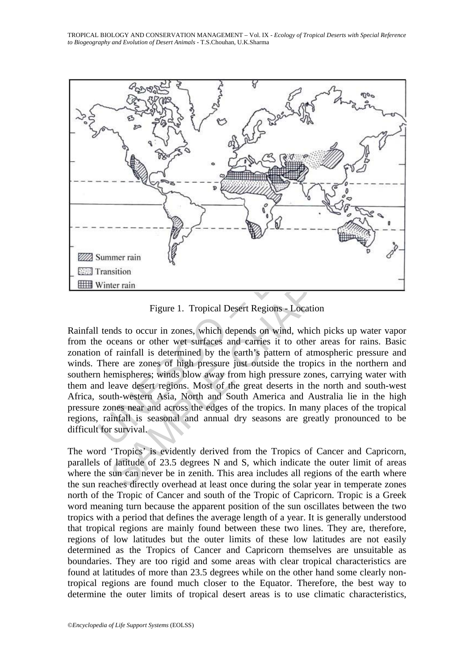TROPICAL BIOLOGY AND CONSERVATION MANAGEMENT – Vol. IX - *Ecology of Tropical Deserts with Special Reference to Biogeography and Evolution of Desert Animals* - T.S.Chouhan, U.K.Sharma



Figure 1. Tropical Desert Regions - Location

Summer rain<br>
Fransition<br>
Summer rain<br>
Fransition<br>
Winter rain<br>
Figure 1. Tropical Desert Regions - Location<br>
tends to occur in zones, which depends on wind, which picks<br>
te oceans or other wet surfaces and carries it to ot The rain and the state of the state of the state of the state of the state of the state of the state of the state of the state of the state of the state of the state of the state of the state of the state of the state of t Rainfall tends to occur in zones, which depends on wind, which picks up water vapor from the oceans or other wet surfaces and carries it to other areas for rains. Basic zonation of rainfall is determined by the earth's pattern of atmospheric pressure and winds. There are zones of high pressure just outside the tropics in the northern and southern hemispheres; winds blow away from high pressure zones, carrying water with them and leave desert regions. Most of the great deserts in the north and south-west Africa, south-western Asia, North and South America and Australia lie in the high pressure zones near and across the edges of the tropics. In many places of the tropical regions, rainfall is seasonal and annual dry seasons are greatly pronounced to be difficult for survival.

The word 'Tropics' is evidently derived from the Tropics of Cancer and Capricorn, parallels of latitude of 23.5 degrees N and S, which indicate the outer limit of areas where the sun can never be in zenith. This area includes all regions of the earth where the sun reaches directly overhead at least once during the solar year in temperate zones north of the Tropic of Cancer and south of the Tropic of Capricorn. Tropic is a Greek word meaning turn because the apparent position of the sun oscillates between the two tropics with a period that defines the average length of a year. It is generally understood that tropical regions are mainly found between these two lines. They are, therefore, regions of low latitudes but the outer limits of these low latitudes are not easily determined as the Tropics of Cancer and Capricorn themselves are unsuitable as boundaries. They are too rigid and some areas with clear tropical characteristics are found at latitudes of more than 23.5 degrees while on the other hand some clearly nontropical regions are found much closer to the Equator. Therefore, the best way to determine the outer limits of tropical desert areas is to use climatic characteristics,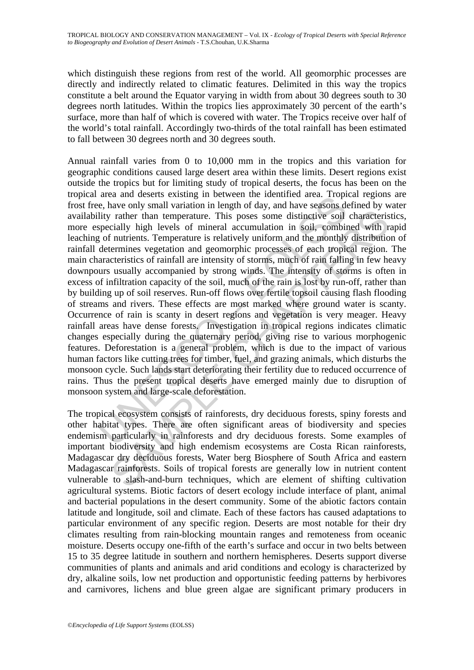which distinguish these regions from rest of the world. All geomorphic processes are directly and indirectly related to climatic features. Delimited in this way the tropics constitute a belt around the Equator varying in width from about 30 degrees south to 30 degrees north latitudes. Within the tropics lies approximately 30 percent of the earth's surface, more than half of which is covered with water. The Tropics receive over half of the world's total rainfall. Accordingly two-thirds of the total rainfall has been estimated to fall between 30 degrees north and 30 degrees south.

area and uses es sassing in toeween the dentimed area. Trop-<br>e, have only small variation in length of day, and have seasons de<br>lity rather than temperature. This poses some distinctive soil<br>specially high levels of minera r ather than temperature. This posses some distinctive soil characteriscially high levels of mineral accumulation in soil, combined with r nutrients. Temperature is relatively uniform and the monthly distribution cremines Annual rainfall varies from 0 to 10,000 mm in the tropics and this variation for geographic conditions caused large desert area within these limits. Desert regions exist outside the tropics but for limiting study of tropical deserts, the focus has been on the tropical area and deserts existing in between the identified area. Tropical regions are frost free, have only small variation in length of day, and have seasons defined by water availability rather than temperature. This poses some distinctive soil characteristics, more especially high levels of mineral accumulation in soil, combined with rapid leaching of nutrients. Temperature is relatively uniform and the monthly distribution of rainfall determines vegetation and geomorphic processes of each tropical region. The main characteristics of rainfall are intensity of storms, much of rain falling in few heavy downpours usually accompanied by strong winds. The intensity of storms is often in excess of infiltration capacity of the soil, much of the rain is lost by run-off, rather than by building up of soil reserves. Run-off flows over fertile topsoil causing flash flooding of streams and rivers. These effects are most marked where ground water is scanty. Occurrence of rain is scanty in desert regions and vegetation is very meager. Heavy rainfall areas have dense forests. Investigation in tropical regions indicates climatic changes especially during the quaternary period, giving rise to various morphogenic features. Deforestation is a general problem, which is due to the impact of various human factors like cutting trees for timber, fuel, and grazing animals, which disturbs the monsoon cycle. Such lands start deteriorating their fertility due to reduced occurrence of rains. Thus the present tropical deserts have emerged mainly due to disruption of monsoon system and large-scale deforestation.

The tropical ecosystem consists of rainforests, dry deciduous forests, spiny forests and other habitat types. There are often significant areas of biodiversity and species endemism particularly in rainforests and dry deciduous forests. Some examples of important biodiversity and high endemism ecosystems are Costa Rican rainforests, Madagascar dry deciduous forests, Water berg Biosphere of South Africa and eastern Madagascar rainforests. Soils of tropical forests are generally low in nutrient content vulnerable to slash-and-burn techniques, which are element of shifting cultivation agricultural systems. Biotic factors of desert ecology include interface of plant, animal and bacterial populations in the desert community. Some of the abiotic factors contain latitude and longitude, soil and climate. Each of these factors has caused adaptations to particular environment of any specific region. Deserts are most notable for their dry climates resulting from rain-blocking mountain ranges and remoteness from oceanic moisture. Deserts occupy one-fifth of the earth's surface and occur in two belts between 15 to 35 degree latitude in southern and northern hemispheres. Deserts support diverse communities of plants and animals and arid conditions and ecology is characterized by dry, alkaline soils, low net production and opportunistic feeding patterns by herbivores and carnivores, lichens and blue green algae are significant primary producers in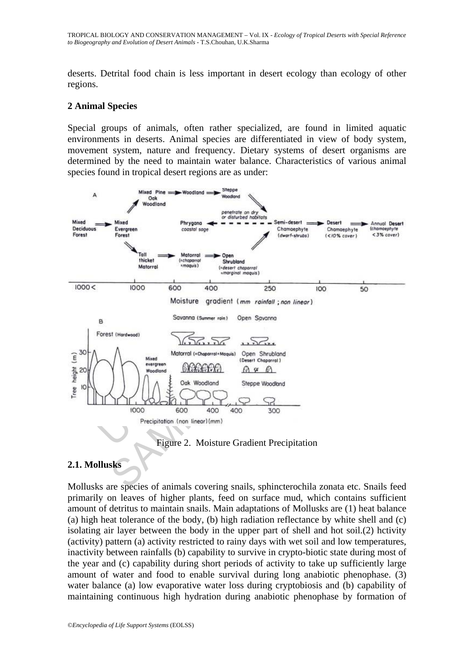deserts. Detrital food chain is less important in desert ecology than ecology of other regions.

#### **2 Animal Species**

Special groups of animals, often rather specialized, are found in limited aquatic environments in deserts. Animal species are differentiated in view of body system, movement system, nature and frequency. Dietary systems of desert organisms are determined by the need to maintain water balance. Characteristics of various animal species found in tropical desert regions are as under:



#### Figure 2. Moisture Gradient Precipitation

#### **2.1. Mollusks**

Mollusks are species of animals covering snails, sphincterochila zonata etc. Snails feed primarily on leaves of higher plants, feed on surface mud, which contains sufficient amount of detritus to maintain snails. Main adaptations of Mollusks are (1) heat balance (a) high heat tolerance of the body, (b) high radiation reflectance by white shell and (c) isolating air layer between the body in the upper part of shell and hot soil.(2) hctivity (activity) pattern (a) activity restricted to rainy days with wet soil and low temperatures, inactivity between rainfalls (b) capability to survive in crypto-biotic state during most of the year and (c) capability during short periods of activity to take up sufficiently large amount of water and food to enable survival during long anabiotic phenophase. (3) water balance (a) low evaporative water loss during cryptobiosis and (b) capability of maintaining continuous high hydration during anabiotic phenophase by formation of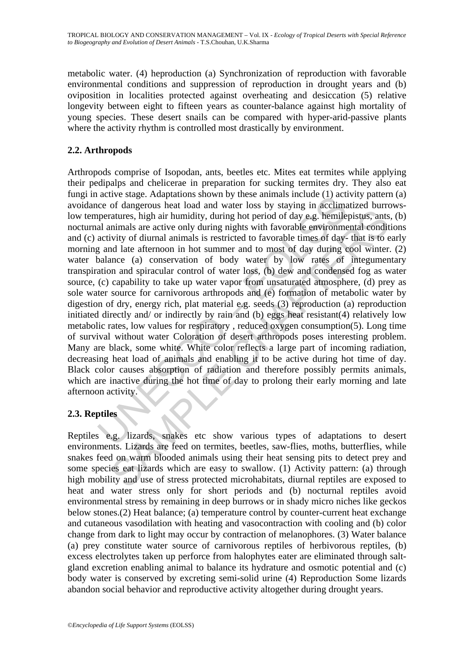metabolic water. (4) heproduction (a) Synchronization of reproduction with favorable environmental conditions and suppression of reproduction in drought years and (b) oviposition in localities protected against overheating and desiccation (5) relative longevity between eight to fifteen years as counter-balance against high mortality of young species. These desert snails can be compared with hyper-arid-passive plants where the activity rhythm is controlled most drastically by environment.

# **2.2. Arthropods**

active stage. Auquations shown by these animias include (1) actionate<br>acce of dangerous heat load and water loss by staying in acclimate<br>peratures, high air humidity, during hot period of day e.g. hemile<br>al animals are act ratures, high air humidity, during hot period of day e.g. hemilepistus, ants<br>atures, high air humidity, during hot period of day e.g. hemilepistus, ants<br>nimals are active only during nights with favorable environmental con Arthropods comprise of Isopodan, ants, beetles etc. Mites eat termites while applying their pedipalps and chelicerae in preparation for sucking termites dry. They also eat fungi in active stage. Adaptations shown by these animals include (1) activity pattern (a) avoidance of dangerous heat load and water loss by staying in acclimatized burrowslow temperatures, high air humidity, during hot period of day e.g. hemilepistus, ants, (b) nocturnal animals are active only during nights with favorable environmental conditions and (c) activity of diurnal animals is restricted to favorable times of day- that is to early morning and late afternoon in hot summer and to most of day during cool winter. (2) water balance (a) conservation of body water by low rates of integumentary transpiration and spiracular control of water loss, (b) dew and condensed fog as water source, (c) capability to take up water vapor from unsaturated atmosphere, (d) prey as sole water source for carnivorous arthropods and (e) formation of metabolic water by digestion of dry, energy rich, plat material e.g. seeds (3) reproduction (a) reproduction initiated directly and/ or indirectly by rain and (b) eggs heat resistant(4) relatively low metabolic rates, low values for respiratory , reduced oxygen consumption(5). Long time of survival without water Coloration of desert arthropods poses interesting problem. Many are black, some white. White color reflects a large part of incoming radiation, decreasing heat load of animals and enabling it to be active during hot time of day. Black color causes absorption of radiation and therefore possibly permits animals, which are inactive during the hot time of day to prolong their early morning and late afternoon activity.

#### **2.3. Reptiles**

Reptiles e.g. lizards, snakes etc show various types of adaptations to desert environments. Lizards are feed on termites, beetles, saw-flies, moths, butterflies, while snakes feed on warm blooded animals using their heat sensing pits to detect prey and some species eat lizards which are easy to swallow. (1) Activity pattern: (a) through high mobility and use of stress protected microhabitats, diurnal reptiles are exposed to heat and water stress only for short periods and (b) nocturnal reptiles avoid environmental stress by remaining in deep burrows or in shady micro niches like geckos below stones.(2) Heat balance; (a) temperature control by counter-current heat exchange and cutaneous vasodilation with heating and vasocontraction with cooling and (b) color change from dark to light may occur by contraction of melanophores. (3) Water balance (a) prey constitute water source of carnivorous reptiles of herbivorous reptiles, (b) excess electrolytes taken up perforce from halophytes eater are eliminated through saltgland excretion enabling animal to balance its hydrature and osmotic potential and (c) body water is conserved by excreting semi-solid urine (4) Reproduction Some lizards abandon social behavior and reproductive activity altogether during drought years.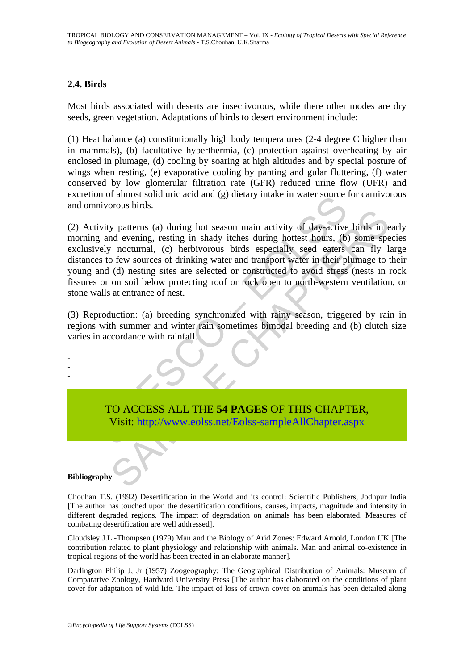### **2.4. Birds**

Most birds associated with deserts are insectivorous, while there other modes are dry seeds, green vegetation. Adaptations of birds to desert environment include:

(1) Heat balance (a) constitutionally high body temperatures (2-4 degree C higher than in mammals), (b) facultative hyperthermia, (c) protection against overheating by air enclosed in plumage, (d) cooling by soaring at high altitudes and by special posture of wings when resting, (e) evaporative cooling by panting and gular fluttering, (f) water conserved by low glomerular filtration rate (GFR) reduced urine flow (UFR) and excretion of almost solid uric acid and (g) dietary intake in water source for carnivorous and omnivorous birds.

In the actual and (g) detaily intake in water solice<br>invorous birds.<br>The invariant action and (g) detaily intake in water solice<br>g and evening, resting in shady itches during hottest hours, (b)<br>rely nocturnal, (c) herbivor The structure of the state of the state of the state of the state of the state of evening, resting in shady itches during hottest hours, (b) some spectrumal, (c) herbivorous birds especially seed caters can fly 1 of the so (2) Activity patterns (a) during hot season main activity of day-active birds in early morning and evening, resting in shady itches during hottest hours, (b) some species exclusively nocturnal, (c) herbivorous birds especially seed eaters can fly large distances to few sources of drinking water and transport water in their plumage to their young and (d) nesting sites are selected or constructed to avoid stress (nests in rock fissures or on soil below protecting roof or rock open to north-western ventilation, or stone walls at entrance of nest.

(3) Reproduction: (a) breeding synchronized with rainy season, triggered by rain in regions with summer and winter rain sometimes bimodal breeding and (b) clutch size varies in accordance with rainfall.

> TO ACCESS ALL THE **54 PAGES** OF THIS CHAPTER, Visit: http://www.eolss.net/Eolss-sampleAllChapter.aspx

#### **Bibliography**

- - -

Chouhan T.S. (1992) Desertification in the World and its control: Scientific Publishers, Jodhpur India [The author has touched upon the desertification conditions, causes, impacts, magnitude and intensity in different degraded regions. The impact of degradation on animals has been elaborated. Measures of combating desertification are well addressed].

Cloudsley J.L.-Thompsen (1979) Man and the Biology of Arid Zones: Edward Arnold, London UK [The contribution related to plant physiology and relationship with animals. Man and animal co-existence in tropical regions of the world has been treated in an elaborate manner].

Darlington Philip J, Jr (1957) Zoogeography: The Geographical Distribution of Animals: Museum of Comparative Zoology, Hardvard University Press [The author has elaborated on the conditions of plant cover for adaptation of wild life. The impact of loss of crown cover on animals has been detailed along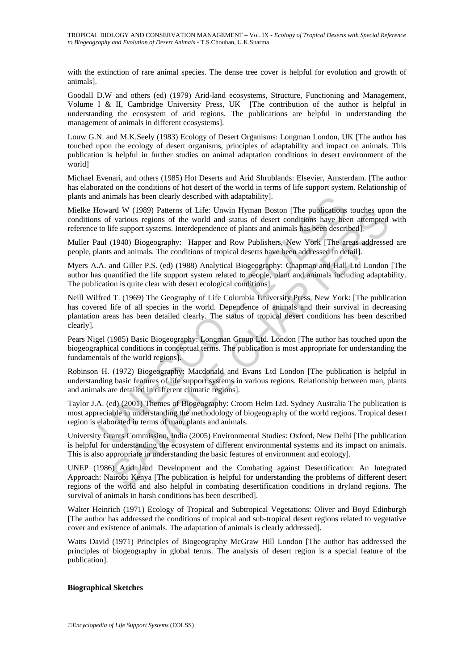with the extinction of rare animal species. The dense tree cover is helpful for evolution and growth of animals].

Goodall D.W and others (ed) (1979) Arid-land ecosystems, Structure, Functioning and Management, Volume I & II, Cambridge University Press, UK [The contribution of the author is helpful in understanding the ecosystem of arid regions. The publications are helpful in understanding the management of animals in different ecosystems].

Louw G.N. and M.K.Seely (1983) Ecology of Desert Organisms: Longman London, UK [The author has touched upon the ecology of desert organisms, principles of adaptability and impact on animals. This publication is helpful in further studies on animal adaptation conditions in desert environment of the world]

Michael Evenari, and others (1985) Hot Deserts and Arid Shrublands: Elsevier, Amsterdam. [The author has elaborated on the conditions of hot desert of the world in terms of life support system. Relationship of plants and animals has been clearly described with adaptability].

Mielke Howard W (1989) Patterns of Life: Unwin Hyman Boston [The publications touches upon the conditions of various regions of the world and status of desert conditions have been attempted with reference to life support systems. Interdependence of plants and animals has been described].

Muller Paul (1940) Biogeography: Happer and Row Publishers, New York [The areas addressed are people, plants and animals. The conditions of tropical deserts have been addressed in detail].

Myers A.A. and Giller P.S. (ed) (1988) Analytical Biogeography: Chapman and Hall Ltd London [The author has quantified the life support system related to people, plant and animals including adaptability. The publication is quite clear with desert ecological conditions].

d animals has been clearly described with adaptability].<br>
Ioward W (1989) Patterns of Life: Unwin Hyman Boston [The publications<br>
so f various regions of the world and status of desert conditions have been<br>
to life support and W (1989) Patterns of Life: Unwin Hyman Boston [The publications touches upon<br>To a violon seguences and status of desert conditions have been attempted<br>if e support systems. Interdependence of plants and animals has bee Neill Wilfred T. (1969) The Geography of Life Columbia University Press, New York: [The publication has covered life of all species in the world. Dependence of animals and their survival in decreasing plantation areas has been detailed clearly. The status of tropical desert conditions has been described clearly].

Pears Nigel (1985) Basic Biogeography: Longman Group Ltd. London [The author has touched upon the biogeographical conditions in conceptual terms. The publication is most appropriate for understanding the fundamentals of the world regions].

Robinson H. (1972) Biogeography: Macdonald and Evans Ltd London [The publication is helpful in understanding basic features of life support systems in various regions. Relationship between man, plants and animals are detailed in different climatic regions].

Taylor J.A. (ed) (2001) Themes of Biogeography: Croom Helm Ltd. Sydney Australia The publication is most appreciable in understanding the methodology of biogeography of the world regions. Tropical desert region is elaborated in terms of man, plants and animals.

University Grants Commission, India (2005) Environmental Studies: Oxford, New Delhi [The publication is helpful for understanding the ecosystem of different environmental systems and its impact on animals. This is also appropriate in understanding the basic features of environment and ecology].

UNEP (1986) Arid land Development and the Combating against Desertification: An Integrated Approach: Nairobi Kenya [The publication is helpful for understanding the problems of different desert regions of the world and also helpful in combating desertification conditions in dryland regions. The survival of animals in harsh conditions has been described].

Walter Heinrich (1971) Ecology of Tropical and Subtropical Vegetations: Oliver and Boyd Edinburgh [The author has addressed the conditions of tropical and sub-tropical desert regions related to vegetative cover and existence of animals. The adaptation of animals is clearly addressed].

Watts David (1971) Principles of Biogeography McGraw Hill London [The author has addressed the principles of biogeography in global terms. The analysis of desert region is a special feature of the publication].

#### **Biographical Sketches**